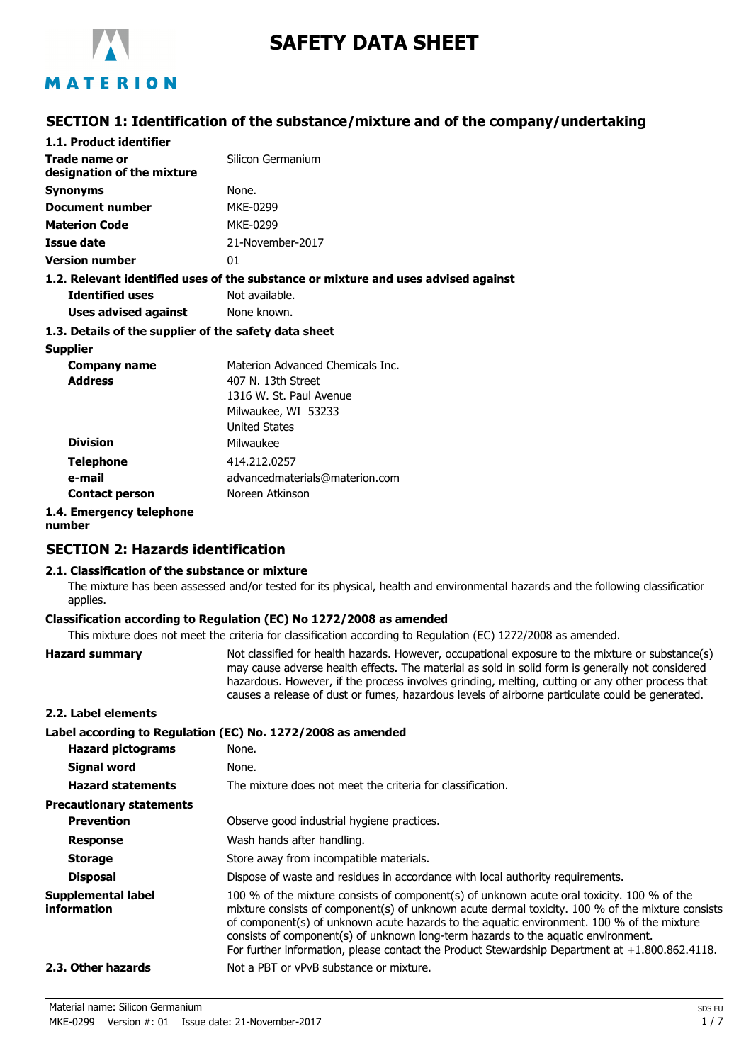

# **SAFETY DATA SHEET**

## MATERION

## **SECTION 1: Identification of the substance/mixture and of the company/undertaking**

| 1.1. Product identifier                               |                                                                                    |
|-------------------------------------------------------|------------------------------------------------------------------------------------|
| Trade name or<br>designation of the mixture           | Silicon Germanium                                                                  |
| Synonyms                                              | None.                                                                              |
| <b>Document number</b>                                | MKE-0299                                                                           |
| <b>Materion Code</b>                                  | MKE-0299                                                                           |
| Issue date                                            | 21-November-2017                                                                   |
| <b>Version number</b>                                 | 01                                                                                 |
|                                                       | 1.2. Relevant identified uses of the substance or mixture and uses advised against |
| <b>Identified uses</b>                                | Not available.                                                                     |
| Uses advised against                                  | None known.                                                                        |
| 1.3. Details of the supplier of the safety data sheet |                                                                                    |
| <b>Supplier</b>                                       |                                                                                    |
| Company name                                          | Materion Advanced Chemicals Inc.                                                   |
| <b>Address</b>                                        | 407 N. 13th Street                                                                 |
|                                                       | 1316 W. St. Paul Avenue                                                            |
|                                                       | Milwaukee, WI 53233                                                                |
|                                                       | <b>United States</b>                                                               |
| <b>Division</b>                                       | Milwaukee                                                                          |
| <b>Telephone</b>                                      | 414.212.0257                                                                       |
| e-mail                                                | advancedmaterials@materion.com                                                     |
| <b>Contact person</b>                                 | Noreen Atkinson                                                                    |
| 1.4. Emergency telephone                              |                                                                                    |
|                                                       |                                                                                    |

**number**

## **SECTION 2: Hazards identification**

#### **2.1. Classification of the substance or mixture**

The mixture has been assessed and/or tested for its physical, health and environmental hazards and the following classification applies.

## **Classification according to Regulation (EC) No 1272/2008 as amended**

This mixture does not meet the criteria for classification according to Regulation (EC) 1272/2008 as amended.

| <b>Hazard summary</b>             | Not classified for health hazards. However, occupational exposure to the mixture or substance(s)<br>may cause adverse health effects. The material as sold in solid form is generally not considered<br>hazardous. However, if the process involves grinding, melting, cutting or any other process that<br>causes a release of dust or fumes, hazardous levels of airborne particulate could be generated.                                                                           |
|-----------------------------------|---------------------------------------------------------------------------------------------------------------------------------------------------------------------------------------------------------------------------------------------------------------------------------------------------------------------------------------------------------------------------------------------------------------------------------------------------------------------------------------|
| 2.2. Label elements               |                                                                                                                                                                                                                                                                                                                                                                                                                                                                                       |
|                                   | Label according to Regulation (EC) No. 1272/2008 as amended                                                                                                                                                                                                                                                                                                                                                                                                                           |
| <b>Hazard pictograms</b>          | None.                                                                                                                                                                                                                                                                                                                                                                                                                                                                                 |
| Signal word                       | None.                                                                                                                                                                                                                                                                                                                                                                                                                                                                                 |
| <b>Hazard statements</b>          | The mixture does not meet the criteria for classification.                                                                                                                                                                                                                                                                                                                                                                                                                            |
| <b>Precautionary statements</b>   |                                                                                                                                                                                                                                                                                                                                                                                                                                                                                       |
| <b>Prevention</b>                 | Observe good industrial hygiene practices.                                                                                                                                                                                                                                                                                                                                                                                                                                            |
| <b>Response</b>                   | Wash hands after handling.                                                                                                                                                                                                                                                                                                                                                                                                                                                            |
| <b>Storage</b>                    | Store away from incompatible materials.                                                                                                                                                                                                                                                                                                                                                                                                                                               |
| <b>Disposal</b>                   | Dispose of waste and residues in accordance with local authority requirements.                                                                                                                                                                                                                                                                                                                                                                                                        |
| Supplemental label<br>information | 100 % of the mixture consists of component(s) of unknown acute oral toxicity. 100 % of the<br>mixture consists of component(s) of unknown acute dermal toxicity. 100 % of the mixture consists<br>of component(s) of unknown acute hazards to the aquatic environment. 100 % of the mixture<br>consists of component(s) of unknown long-term hazards to the aquatic environment.<br>For further information, please contact the Product Stewardship Department at $+1.800.862.4118$ . |
| 2.3. Other hazards                | Not a PBT or yPvB substance or mixture.                                                                                                                                                                                                                                                                                                                                                                                                                                               |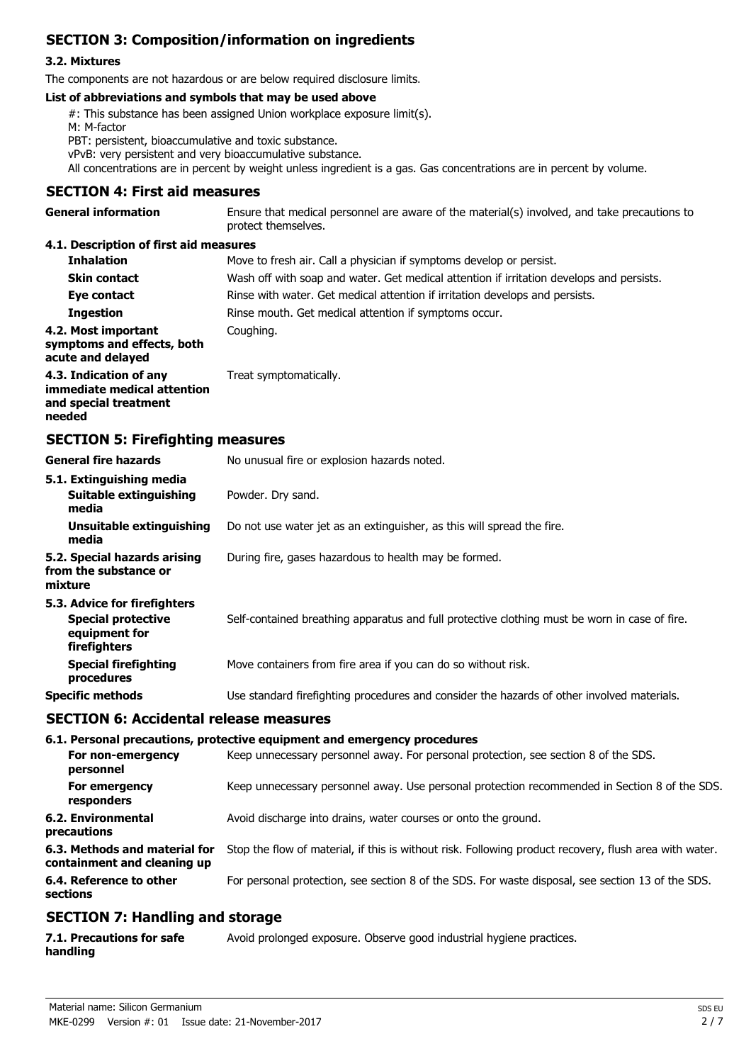## **SECTION 3: Composition/information on ingredients**

### **3.2. Mixtures**

The components are not hazardous or are below required disclosure limits.

#### **List of abbreviations and symbols that may be used above**

#: This substance has been assigned Union workplace exposure limit(s).

M: M-factor

PBT: persistent, bioaccumulative and toxic substance.

vPvB: very persistent and very bioaccumulative substance.

All concentrations are in percent by weight unless ingredient is a gas. Gas concentrations are in percent by volume.

### **SECTION 4: First aid measures**

| <b>General information</b> | Ensure that medical personnel are aware of the material(s) involved, and take precautions to |
|----------------------------|----------------------------------------------------------------------------------------------|
|                            | protect themselves.                                                                          |

### **4.1. Description of first aid measures**

| <b>Inhalation</b>                                                                        | Move to fresh air. Call a physician if symptoms develop or persist.                      |
|------------------------------------------------------------------------------------------|------------------------------------------------------------------------------------------|
| <b>Skin contact</b>                                                                      | Wash off with soap and water. Get medical attention if irritation develops and persists. |
| Eye contact                                                                              | Rinse with water. Get medical attention if irritation develops and persists.             |
| <b>Ingestion</b>                                                                         | Rinse mouth. Get medical attention if symptoms occur.                                    |
| 4.2. Most important<br>symptoms and effects, both<br>acute and delayed                   | Coughing.                                                                                |
| 4.3. Indication of any<br>immediate medical attention<br>and special treatment<br>needed | Treat symptomatically.                                                                   |

## **SECTION 5: Firefighting measures**

| <b>General fire hazards</b>                                                                | No unusual fire or explosion hazards noted.                                                   |
|--------------------------------------------------------------------------------------------|-----------------------------------------------------------------------------------------------|
| 5.1. Extinguishing media<br><b>Suitable extinguishing</b><br>media                         | Powder. Dry sand.                                                                             |
| Unsuitable extinguishing<br>media                                                          | Do not use water jet as an extinguisher, as this will spread the fire.                        |
| 5.2. Special hazards arising<br>from the substance or<br>mixture                           | During fire, gases hazardous to health may be formed.                                         |
| 5.3. Advice for firefighters<br><b>Special protective</b><br>equipment for<br>firefighters | Self-contained breathing apparatus and full protective clothing must be worn in case of fire. |
| <b>Special firefighting</b><br>procedures                                                  | Move containers from fire area if you can do so without risk.                                 |
| <b>Specific methods</b>                                                                    | Use standard firefighting procedures and consider the hazards of other involved materials.    |
| <b>SECTION 6: Accidental release measures</b>                                              |                                                                                               |

#### **6.1. Personal precautions, protective equipment and emergency procedures**

| For non-emergency<br>personnel                               | Keep unnecessary personnel away. For personal protection, see section 8 of the SDS.                    |
|--------------------------------------------------------------|--------------------------------------------------------------------------------------------------------|
| For emergency<br>responders                                  | Keep unnecessary personnel away. Use personal protection recommended in Section 8 of the SDS.          |
| 6.2. Environmental<br>precautions                            | Avoid discharge into drains, water courses or onto the ground.                                         |
| 6.3. Methods and material for<br>containment and cleaning up | Stop the flow of material, if this is without risk. Following product recovery, flush area with water. |
| 6.4. Reference to other<br>sections                          | For personal protection, see section 8 of the SDS. For waste disposal, see section 13 of the SDS.      |
|                                                              |                                                                                                        |

## **SECTION 7: Handling and storage**

| 7.1. Precautions for safe | Avoid prolonged exposure. Observe good industrial hygiene practices. |
|---------------------------|----------------------------------------------------------------------|
| handling                  |                                                                      |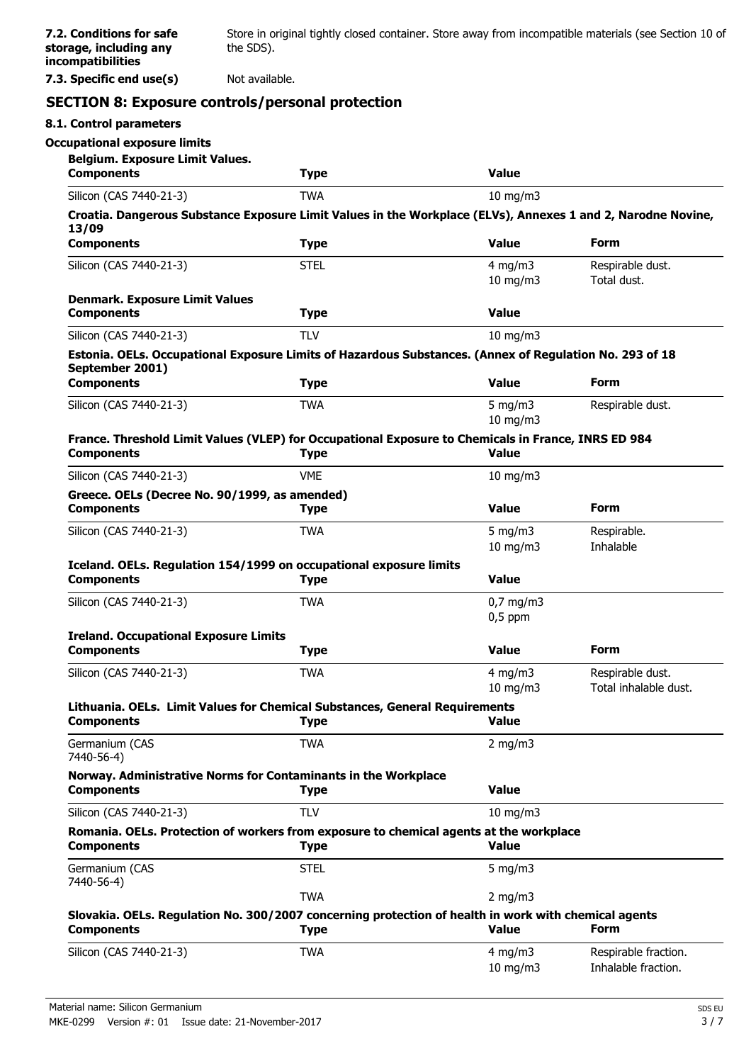**7.3. Specific end use(s)** Not available.

## **SECTION 8: Exposure controls/personal protection**

| <b>Occupational exposure limits</b><br><b>Belgium. Exposure Limit Values.</b>                                              |             |                                   |                                             |
|----------------------------------------------------------------------------------------------------------------------------|-------------|-----------------------------------|---------------------------------------------|
| <b>Components</b>                                                                                                          | <b>Type</b> | <b>Value</b>                      |                                             |
| Silicon (CAS 7440-21-3)                                                                                                    | <b>TWA</b>  | $10$ mg/m $3$                     |                                             |
| Croatia. Dangerous Substance Exposure Limit Values in the Workplace (ELVs), Annexes 1 and 2, Narodne Novine,<br>13/09      |             |                                   |                                             |
| <b>Components</b>                                                                                                          | <b>Type</b> | <b>Value</b>                      | <b>Form</b>                                 |
| Silicon (CAS 7440-21-3)                                                                                                    | <b>STEL</b> | $4$ mg/m $3$<br>$10$ mg/m $3$     | Respirable dust.<br>Total dust.             |
| <b>Denmark. Exposure Limit Values</b><br><b>Components</b>                                                                 | <b>Type</b> | <b>Value</b>                      |                                             |
| Silicon (CAS 7440-21-3)                                                                                                    | <b>TLV</b>  | $10$ mg/m $3$                     |                                             |
| Estonia. OELs. Occupational Exposure Limits of Hazardous Substances. (Annex of Regulation No. 293 of 18<br>September 2001) |             |                                   |                                             |
| <b>Components</b>                                                                                                          | <b>Type</b> | <b>Value</b>                      | <b>Form</b>                                 |
| Silicon (CAS 7440-21-3)                                                                                                    | <b>TWA</b>  | $5$ mg/m $3$<br>$10$ mg/m $3$     | Respirable dust.                            |
| France. Threshold Limit Values (VLEP) for Occupational Exposure to Chemicals in France, INRS ED 984<br><b>Components</b>   | <b>Type</b> | <b>Value</b>                      |                                             |
| Silicon (CAS 7440-21-3)                                                                                                    | <b>VME</b>  | $10$ mg/m $3$                     |                                             |
| Greece. OELs (Decree No. 90/1999, as amended)<br><b>Components</b>                                                         | <b>Type</b> | <b>Value</b>                      | <b>Form</b>                                 |
| Silicon (CAS 7440-21-3)                                                                                                    | <b>TWA</b>  | 5 mg/m $3$<br>$10$ mg/m $3$       | Respirable.<br>Inhalable                    |
| Iceland. OELs. Regulation 154/1999 on occupational exposure limits<br><b>Components</b>                                    | <b>Type</b> | <b>Value</b>                      |                                             |
| Silicon (CAS 7440-21-3)                                                                                                    | <b>TWA</b>  | $0,7$ mg/m3<br>$0,5$ ppm          |                                             |
| <b>Ireland. Occupational Exposure Limits</b>                                                                               |             |                                   |                                             |
| <b>Components</b>                                                                                                          | <b>Type</b> | <b>Value</b>                      | <b>Form</b>                                 |
| Silicon (CAS 7440-21-3)                                                                                                    | <b>TWA</b>  | $4$ mg/m $3$<br>$10 \text{ mg/m}$ | Respirable dust.<br>Total inhalable dust.   |
| Lithuania. OELs. Limit Values for Chemical Substances, General Requirements<br><b>Components</b>                           | <b>Type</b> | Value                             |                                             |
| Germanium (CAS<br>7440-56-4)                                                                                               | <b>TWA</b>  | $2$ mg/m $3$                      |                                             |
| Norway. Administrative Norms for Contaminants in the Workplace<br><b>Components</b>                                        | <b>Type</b> | <b>Value</b>                      |                                             |
| Silicon (CAS 7440-21-3)                                                                                                    | <b>TLV</b>  | $10$ mg/m $3$                     |                                             |
| Romania. OELs. Protection of workers from exposure to chemical agents at the workplace<br><b>Components</b>                | <b>Type</b> | <b>Value</b>                      |                                             |
| Germanium (CAS<br>7440-56-4)                                                                                               | <b>STEL</b> | 5 mg/m $3$                        |                                             |
|                                                                                                                            | <b>TWA</b>  | $2$ mg/m $3$                      |                                             |
| Slovakia. OELs. Regulation No. 300/2007 concerning protection of health in work with chemical agents<br><b>Components</b>  | <b>Type</b> | <b>Value</b>                      | <b>Form</b>                                 |
| Silicon (CAS 7440-21-3)                                                                                                    | <b>TWA</b>  | $4$ mg/m $3$<br>10 mg/m3          | Respirable fraction.<br>Inhalable fraction. |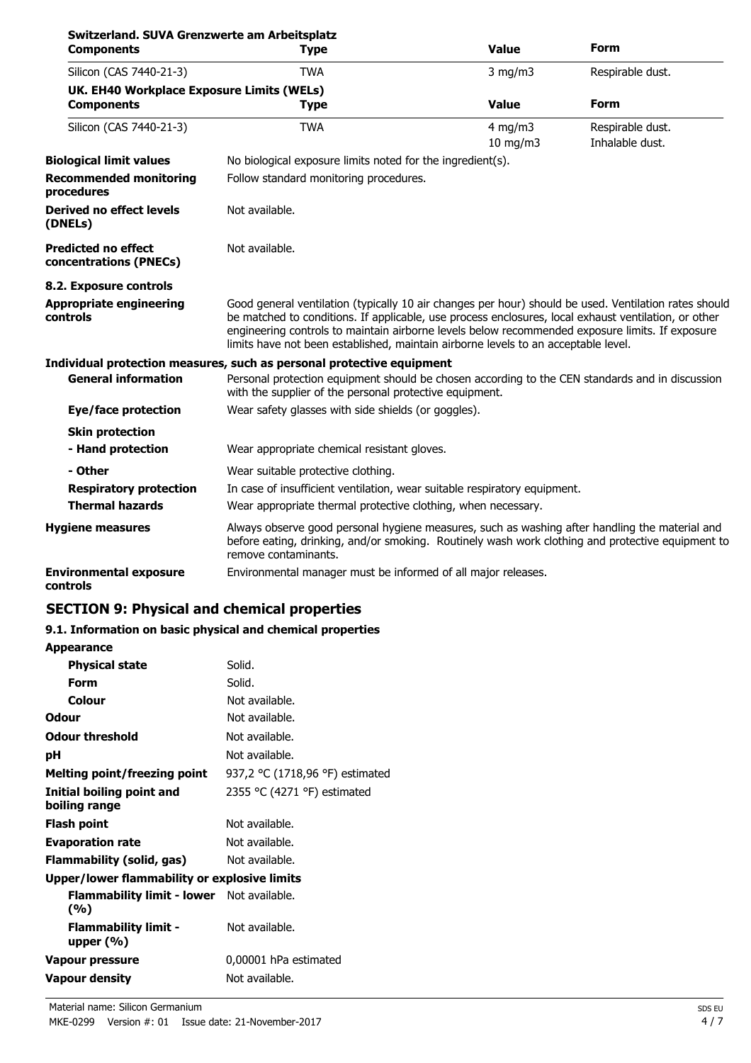| Switzerland. SUVA Grenzwerte am Arbeitsplatz<br><b>Components</b> | <b>Type</b>                                                                                                                                                                                                                                                                                                                                                                                            | <b>Value</b>                  | Form                                |
|-------------------------------------------------------------------|--------------------------------------------------------------------------------------------------------------------------------------------------------------------------------------------------------------------------------------------------------------------------------------------------------------------------------------------------------------------------------------------------------|-------------------------------|-------------------------------------|
| Silicon (CAS 7440-21-3)                                           | <b>TWA</b>                                                                                                                                                                                                                                                                                                                                                                                             | $3$ mg/m $3$                  | Respirable dust.                    |
| UK. EH40 Workplace Exposure Limits (WELs)                         |                                                                                                                                                                                                                                                                                                                                                                                                        |                               |                                     |
| <b>Components</b>                                                 | <b>Type</b>                                                                                                                                                                                                                                                                                                                                                                                            | <b>Value</b>                  | <b>Form</b>                         |
| Silicon (CAS 7440-21-3)                                           | <b>TWA</b>                                                                                                                                                                                                                                                                                                                                                                                             | $4$ mg/m $3$<br>$10$ mg/m $3$ | Respirable dust.<br>Inhalable dust. |
| <b>Biological limit values</b>                                    | No biological exposure limits noted for the ingredient(s).                                                                                                                                                                                                                                                                                                                                             |                               |                                     |
| <b>Recommended monitoring</b><br>procedures                       | Follow standard monitoring procedures.                                                                                                                                                                                                                                                                                                                                                                 |                               |                                     |
| <b>Derived no effect levels</b><br>(DNELs)                        | Not available.                                                                                                                                                                                                                                                                                                                                                                                         |                               |                                     |
| <b>Predicted no effect</b><br>concentrations (PNECs)              | Not available.                                                                                                                                                                                                                                                                                                                                                                                         |                               |                                     |
| 8.2. Exposure controls                                            |                                                                                                                                                                                                                                                                                                                                                                                                        |                               |                                     |
| Appropriate engineering<br>controls                               | Good general ventilation (typically 10 air changes per hour) should be used. Ventilation rates should<br>be matched to conditions. If applicable, use process enclosures, local exhaust ventilation, or other<br>engineering controls to maintain airborne levels below recommended exposure limits. If exposure<br>limits have not been established, maintain airborne levels to an acceptable level. |                               |                                     |
|                                                                   | Individual protection measures, such as personal protective equipment                                                                                                                                                                                                                                                                                                                                  |                               |                                     |
| <b>General information</b>                                        | Personal protection equipment should be chosen according to the CEN standards and in discussion<br>with the supplier of the personal protective equipment.                                                                                                                                                                                                                                             |                               |                                     |
| <b>Eye/face protection</b>                                        | Wear safety glasses with side shields (or goggles).                                                                                                                                                                                                                                                                                                                                                    |                               |                                     |
| <b>Skin protection</b>                                            |                                                                                                                                                                                                                                                                                                                                                                                                        |                               |                                     |
| - Hand protection                                                 | Wear appropriate chemical resistant gloves.                                                                                                                                                                                                                                                                                                                                                            |                               |                                     |
| - Other                                                           | Wear suitable protective clothing.                                                                                                                                                                                                                                                                                                                                                                     |                               |                                     |
| <b>Respiratory protection</b>                                     | In case of insufficient ventilation, wear suitable respiratory equipment.                                                                                                                                                                                                                                                                                                                              |                               |                                     |
| <b>Thermal hazards</b>                                            | Wear appropriate thermal protective clothing, when necessary.                                                                                                                                                                                                                                                                                                                                          |                               |                                     |
| <b>Hygiene measures</b>                                           | Always observe good personal hygiene measures, such as washing after handling the material and<br>before eating, drinking, and/or smoking. Routinely wash work clothing and protective equipment to<br>remove contaminants.                                                                                                                                                                            |                               |                                     |
| <b>Environmental exposure</b><br>controls                         | Environmental manager must be informed of all major releases.                                                                                                                                                                                                                                                                                                                                          |                               |                                     |

## **SECTION 9: Physical and chemical properties**

## **9.1. Information on basic physical and chemical properties**

| <b>Appearance</b>                                       |                                 |
|---------------------------------------------------------|---------------------------------|
| <b>Physical state</b>                                   | Solid.                          |
| Form                                                    | Solid.                          |
| <b>Colour</b>                                           | Not available.                  |
| Odour                                                   | Not available.                  |
| <b>Odour threshold</b>                                  | Not available.                  |
| рH                                                      | Not available.                  |
| Melting point/freezing point                            | 937,2 °C (1718,96 °F) estimated |
| Initial boiling point and<br>boiling range              | 2355 °C (4271 °F) estimated     |
| Flash point                                             | Not available.                  |
| <b>Evaporation rate</b>                                 | Not available.                  |
| Flammability (solid, gas)                               | Not available.                  |
| Upper/lower flammability or explosive limits            |                                 |
| <b>Flammability limit - lower</b> Not available.<br>(%) |                                 |
| <b>Flammability limit -</b><br>upper $(\% )$            | Not available.                  |
| Vapour pressure                                         | 0,00001 hPa estimated           |
| <b>Vapour density</b>                                   | Not available.                  |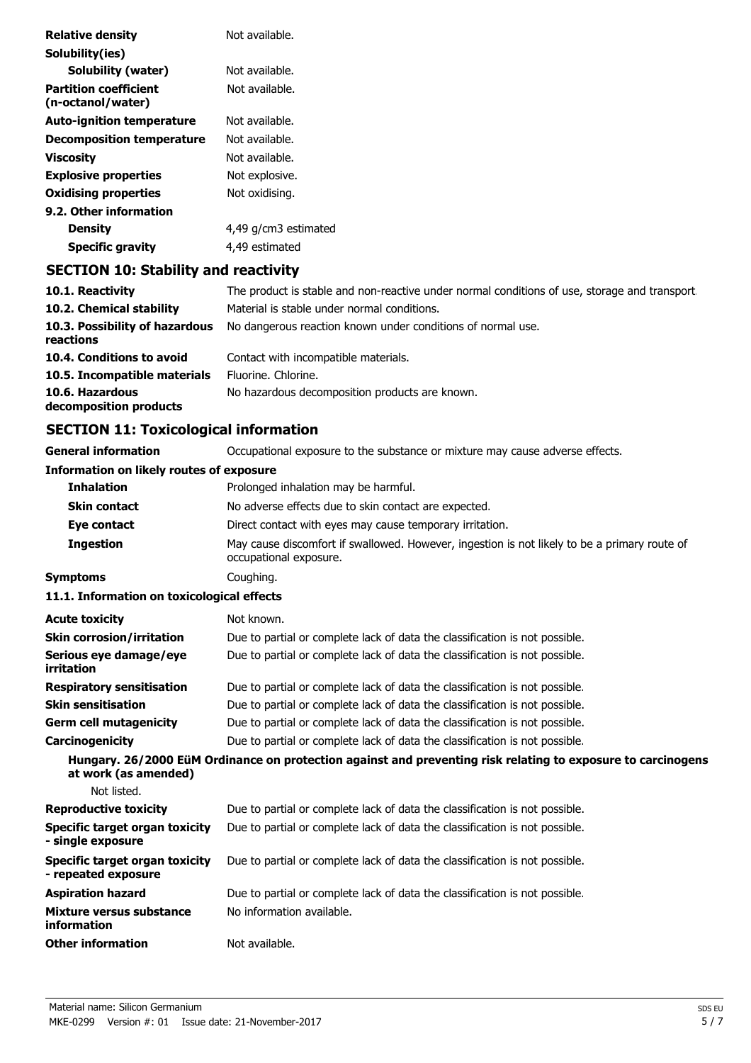| <b>Relative density</b>                           | Not available.       |
|---------------------------------------------------|----------------------|
| Solubility(ies)                                   |                      |
| <b>Solubility (water)</b>                         | Not available.       |
| <b>Partition coefficient</b><br>(n-octanol/water) | Not available.       |
| <b>Auto-ignition temperature</b>                  | Not available.       |
| <b>Decomposition temperature</b>                  | Not available.       |
| <b>Viscosity</b>                                  | Not available.       |
| <b>Explosive properties</b>                       | Not explosive.       |
| <b>Oxidising properties</b>                       | Not oxidising.       |
| 9.2. Other information                            |                      |
| <b>Density</b>                                    | 4,49 g/cm3 estimated |
| <b>Specific gravity</b>                           | 4,49 estimated       |
| <b>SECTION 10: Stability and reactivity</b>       |                      |

| 10.1. Reactivity                            | The product is stable and non-reactive under normal conditions of use, storage and transport. |
|---------------------------------------------|-----------------------------------------------------------------------------------------------|
| 10.2. Chemical stability                    | Material is stable under normal conditions.                                                   |
| 10.3. Possibility of hazardous<br>reactions | No dangerous reaction known under conditions of normal use.                                   |
| 10.4. Conditions to avoid                   | Contact with incompatible materials.                                                          |
| 10.5. Incompatible materials                | Fluorine. Chlorine.                                                                           |
| 10.6. Hazardous<br>decomposition products   | No hazardous decomposition products are known.                                                |

## **SECTION 11: Toxicological information**

| <b>General information</b>                                   | Occupational exposure to the substance or mixture may cause adverse effects.                                           |
|--------------------------------------------------------------|------------------------------------------------------------------------------------------------------------------------|
| <b>Information on likely routes of exposure</b>              |                                                                                                                        |
| <b>Inhalation</b>                                            | Prolonged inhalation may be harmful.                                                                                   |
| <b>Skin contact</b>                                          | No adverse effects due to skin contact are expected.                                                                   |
| Eye contact                                                  | Direct contact with eyes may cause temporary irritation.                                                               |
| <b>Ingestion</b>                                             | May cause discomfort if swallowed. However, ingestion is not likely to be a primary route of<br>occupational exposure. |
| <b>Symptoms</b>                                              | Coughing.                                                                                                              |
| 11.1. Information on toxicological effects                   |                                                                                                                        |
| <b>Acute toxicity</b>                                        | Not known.                                                                                                             |
| <b>Skin corrosion/irritation</b>                             | Due to partial or complete lack of data the classification is not possible.                                            |
| Serious eye damage/eye<br>irritation                         | Due to partial or complete lack of data the classification is not possible.                                            |
| <b>Respiratory sensitisation</b>                             | Due to partial or complete lack of data the classification is not possible.                                            |
| <b>Skin sensitisation</b>                                    | Due to partial or complete lack of data the classification is not possible.                                            |
| <b>Germ cell mutagenicity</b>                                | Due to partial or complete lack of data the classification is not possible.                                            |
| Carcinogenicity                                              | Due to partial or complete lack of data the classification is not possible.                                            |
| at work (as amended)                                         | Hungary. 26/2000 EüM Ordinance on protection against and preventing risk relating to exposure to carcinogens           |
| Not listed.                                                  |                                                                                                                        |
| <b>Reproductive toxicity</b>                                 | Due to partial or complete lack of data the classification is not possible.                                            |
| <b>Specific target organ toxicity</b><br>- single exposure   | Due to partial or complete lack of data the classification is not possible.                                            |
| <b>Specific target organ toxicity</b><br>- repeated exposure | Due to partial or complete lack of data the classification is not possible.                                            |
| <b>Aspiration hazard</b>                                     | Due to partial or complete lack of data the classification is not possible.                                            |
| <b>Mixture versus substance</b><br>information               | No information available.                                                                                              |
| <b>Other information</b>                                     | Not available.                                                                                                         |
|                                                              |                                                                                                                        |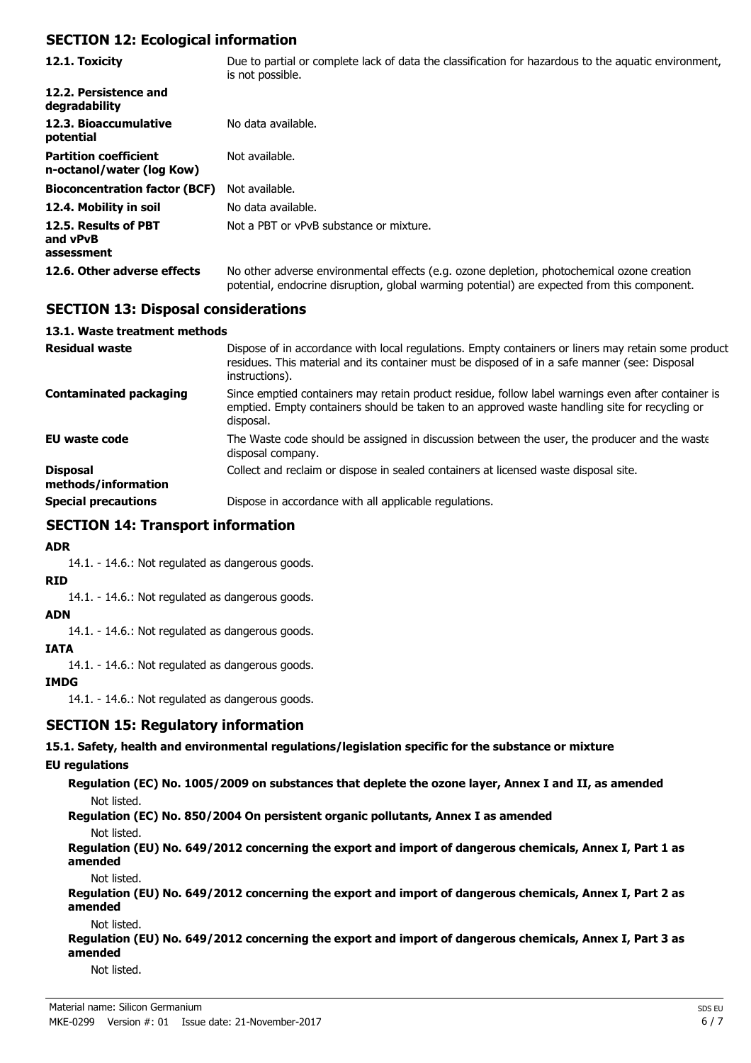### **SECTION 12: Ecological information**

| 12.1. Toxicity                                            | Due to partial or complete lack of data the classification for hazardous to the aguatic environment,<br>is not possible.                                                                   |
|-----------------------------------------------------------|--------------------------------------------------------------------------------------------------------------------------------------------------------------------------------------------|
| 12.2. Persistence and<br>degradability                    |                                                                                                                                                                                            |
| 12.3. Bioaccumulative<br>potential                        | No data available.                                                                                                                                                                         |
| <b>Partition coefficient</b><br>n-octanol/water (log Kow) | Not available.                                                                                                                                                                             |
| <b>Bioconcentration factor (BCF)</b>                      | Not available.                                                                                                                                                                             |
| 12.4. Mobility in soil                                    | No data available.                                                                                                                                                                         |
| 12.5. Results of PBT<br>and vPvB<br>assessment            | Not a PBT or vPvB substance or mixture.                                                                                                                                                    |
| 12.6. Other adverse effects                               | No other adverse environmental effects (e.g. ozone depletion, photochemical ozone creation<br>potential, endocrine disruption, global warming potential) are expected from this component. |

## **SECTION 13: Disposal considerations**

#### **13.1. Waste treatment methods**

| <b>Residual waste</b>                  | Dispose of in accordance with local regulations. Empty containers or liners may retain some product<br>residues. This material and its container must be disposed of in a safe manner (see: Disposal<br>instructions). |
|----------------------------------------|------------------------------------------------------------------------------------------------------------------------------------------------------------------------------------------------------------------------|
| Contaminated packaging                 | Since emptied containers may retain product residue, follow label warnings even after container is<br>emptied. Empty containers should be taken to an approved waste handling site for recycling or<br>disposal.       |
| <b>EU waste code</b>                   | The Waste code should be assigned in discussion between the user, the producer and the waste<br>disposal company.                                                                                                      |
| <b>Disposal</b><br>methods/information | Collect and reclaim or dispose in sealed containers at licensed waste disposal site.                                                                                                                                   |
| <b>Special precautions</b>             | Dispose in accordance with all applicable regulations.                                                                                                                                                                 |

### **SECTION 14: Transport information**

**ADR**

14.1. - 14.6.: Not regulated as dangerous goods.

**RID**

14.1. - 14.6.: Not regulated as dangerous goods.

**ADN**

14.1. - 14.6.: Not regulated as dangerous goods.

### **IATA**

14.1. - 14.6.: Not regulated as dangerous goods.

**IMDG**

14.1. - 14.6.: Not regulated as dangerous goods.

### **SECTION 15: Regulatory information**

**15.1. Safety, health and environmental regulations/legislation specific for the substance or mixture**

#### **EU regulations**

**Regulation (EC) No. 1005/2009 on substances that deplete the ozone layer, Annex I and II, as amended** Not listed.

**Regulation (EC) No. 850/2004 On persistent organic pollutants, Annex I as amended**

Not listed.

**Regulation (EU) No. 649/2012 concerning the export and import of dangerous chemicals, Annex I, Part 1 as amended**

Not listed.

**Regulation (EU) No. 649/2012 concerning the export and import of dangerous chemicals, Annex I, Part 2 as amended**

Not listed.

**Regulation (EU) No. 649/2012 concerning the export and import of dangerous chemicals, Annex I, Part 3 as amended**

Not listed.